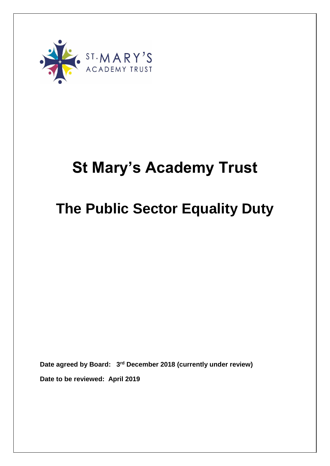

# **St Mary's Academy Trust**

# **The Public Sector Equality Duty**

**Date agreed by Board: 3 rd December 2018 (currently under review) Date to be reviewed: April 2019**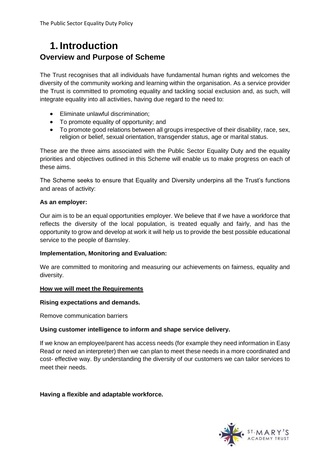## **1. Introduction Overview and Purpose of Scheme**

The Trust recognises that all individuals have fundamental human rights and welcomes the diversity of the community working and learning within the organisation. As a service provider the Trust is committed to promoting equality and tackling social exclusion and, as such, will integrate equality into all activities, having due regard to the need to:

- Eliminate unlawful discrimination;
- To promote equality of opportunity; and
- To promote good relations between all groups irrespective of their disability, race, sex, religion or belief, sexual orientation, transgender status, age or marital status.

These are the three aims associated with the Public Sector Equality Duty and the equality priorities and objectives outlined in this Scheme will enable us to make progress on each of these aims.

The Scheme seeks to ensure that Equality and Diversity underpins all the Trust's functions and areas of activity:

## **As an employer:**

Our aim is to be an equal opportunities employer. We believe that if we have a workforce that reflects the diversity of the local population, is treated equally and fairly, and has the opportunity to grow and develop at work it will help us to provide the best possible educational service to the people of Barnsley.

## **Implementation, Monitoring and Evaluation:**

We are committed to monitoring and measuring our achievements on fairness, equality and diversity.

## **How we will meet the Requirements**

## **Rising expectations and demands.**

Remove communication barriers

## **Using customer intelligence to inform and shape service delivery.**

If we know an employee/parent has access needs (for example they need information in Easy Read or need an interpreter) then we can plan to meet these needs in a more coordinated and cost- effective way. By understanding the diversity of our customers we can tailor services to meet their needs.

## **Having a flexible and adaptable workforce.**

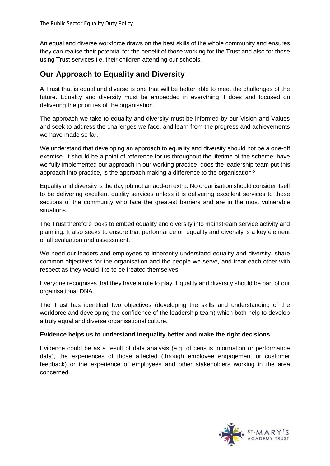An equal and diverse workforce draws on the best skills of the whole community and ensures they can realise their potential for the benefit of those working for the Trust and also for those using Trust services i.e. their children attending our schools.

## **Our Approach to Equality and Diversity**

A Trust that is equal and diverse is one that will be better able to meet the challenges of the future. Equality and diversity must be embedded in everything it does and focused on delivering the priorities of the organisation.

The approach we take to equality and diversity must be informed by our Vision and Values and seek to address the challenges we face, and learn from the progress and achievements we have made so far.

We understand that developing an approach to equality and diversity should not be a one-off exercise. It should be a point of reference for us throughout the lifetime of the scheme; have we fully implemented our approach in our working practice, does the leadership team put this approach into practice, is the approach making a difference to the organisation?

Equality and diversity is the day job not an add-on extra. No organisation should consider itself to be delivering excellent quality services unless it is delivering excellent services to those sections of the community who face the greatest barriers and are in the most vulnerable situations.

The Trust therefore looks to embed equality and diversity into mainstream service activity and planning. It also seeks to ensure that performance on equality and diversity is a key element of all evaluation and assessment.

We need our leaders and employees to inherently understand equality and diversity, share common objectives for the organisation and the people we serve, and treat each other with respect as they would like to be treated themselves.

Everyone recognises that they have a role to play. Equality and diversity should be part of our organisational DNA.

The Trust has identified two objectives (developing the skills and understanding of the workforce and developing the confidence of the leadership team) which both help to develop a truly equal and diverse organisational culture.

## **Evidence helps us to understand inequality better and make the right decisions**

Evidence could be as a result of data analysis (e.g. of census information or performance data), the experiences of those affected (through employee engagement or customer feedback) or the experience of employees and other stakeholders working in the area concerned.

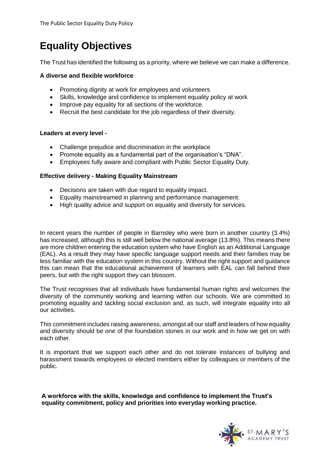## **Equality Objectives**

The Trust has identified the following as a priority, where we believe we can make a difference.

## **A diverse and flexible workforce**

- Promoting dignity at work for employees and volunteers
- Skills, knowledge and confidence to implement equality policy at work
- Improve pay equality for all sections of the workforce.
- Recruit the best candidate for the job regardless of their diversity.

### **Leaders at every level** *-*

- Challenge prejudice and discrimination in the workplace
- Promote equality as a fundamental part of the organisation's "DNA".
- Employees fully aware and compliant with Public Sector Equality Duty.

### **Effective delivery - Making Equality Mainstream**

- Decisions are taken with due regard to equality impact.
- Equality mainstreamed in planning and performance management.
- High quality advice and support on equality and diversity for services.

In recent years the number of people in Barnsley who were born in another country (3.4%) has increased, although this is still well below the national average (13.8%). This means there are more children entering the education system who have English as an Additional Language (EAL). As a result they may have specific language support needs and their families may be less familiar with the education system in this country. Without the right support and guidance this can mean that the educational achievement of learners with EAL can fall behind their peers, but with the right support they can blossom.

The Trust recognises that all individuals have fundamental human rights and welcomes the diversity of the community working and learning within our schools. We are committed to promoting equality and tackling social exclusion and, as such, will integrate equality into all our activities.

This commitment includes raising awareness, amongst all our staff and leaders of how equality and diversity should be one of the foundation stones in our work and in how we get on with each other.

It is important that we support each other and do not tolerate instances of bullying and harassment towards employees or elected members either by colleagues or members of the public.

**A workforce with the skills, knowledge and confidence to implement the Trust's equality commitment, policy and priorities into everyday working practice.**